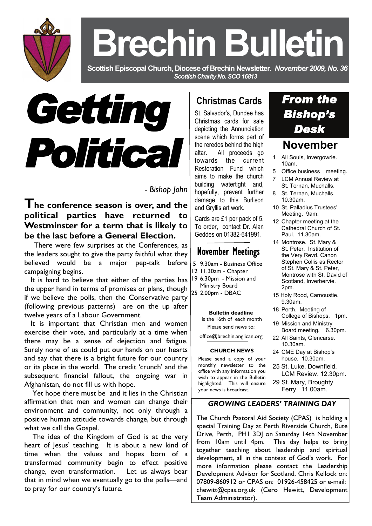

# **Brechin Bulletin**

 **Scottish Episcopal Church, Diocese of Brechin Newsletter***. November 2009, No. 36 Scottish Charity No. SCO 16813* 



 *- Bishop John* 

**The conference season is over, and the political parties have returned to Westminster for a term that is likely to be the last before a General Election.** 

 There were few surprises at the Conferences, as the leaders sought to give the party faithful what they believed would be a major pep-talk before campaigning begins.

 It is hard to believe that either of the parties has the upper hand in terms of promises or plans, though if we believe the polls, then the Conservative party (following previous patterns) are on the up after twelve years of a Labour Government.

 It is important that Christian men and women exercise their vote, and particularly at a time when there may be a sense of dejection and fatigue. Surely none of us could put our hands on our hearts and say that there is a bright future for our country or its place in the world. The credit 'crunch' and the subsequent financial fallout, the ongoing war in Afghanistan, do not fill us with hope.

 Yet hope there must be and it lies in the Christian affirmation that men and women can change their environment and community, not only through a positive human attitude towards change, but through what we call the Gospel.

 The idea of the Kingdom of God is at the very heart of Jesus' teaching. It is about a new kind of time when the values and hopes born of a transformed community begin to effect positive change, even transformation. Let us always bear that in mind when we eventually go to the polls—and to pray for our country's future.

# **Christmas Cards**

St. Salvador's, Dundee has Christmas cards for sale depicting the Annunciation scene which forms part of the reredos behind the high altar. All proceeds go towards the current Restoration Fund which aims to make the church building watertight and, hopefully, prevent further damage to this Burlison and Gryllis art work.

Cards are £1 per pack of 5. To order, contact Dr. Alan Geddes on 01382-641991.

# November Meetings

- 5 9.30am Business Office
- 12 11.30am Chapter
- 19 6.30pm Mission and
- Ministry Board 25 2.00pm - DBAC
	-

### **Bulletin deadline**

 is the 16th of each month Please send news to:

office@brechin.anglican.org

#### **CHURCH NEWS**

Please send a copy of your monthly newsletter to the office with any information you wish to appear in the Bulletin highlighted. This will ensure your news is broadcast.

# *From the*

# **November**

- 1 All Souls, Invergowrie. 10am.
- 5 Office business meeting.
- **LCM Annual Review at** St. Ternan, Muchalls.
- 8 St. Ternan, Muchalls. 10.30am.
- 10 St. Palladius Trustees' Meeting. 9am.
- 12 Chapter meeting at the Cathedral Church of St. Paul. 11.30am.
- 14 Montrose. St. Mary & St. Peter. Institution of the Very Revd. Canon Stephen Collis as Rector of St. Mary & St. Peter, Montrose with St. David of Scotland, Inverbervie. 2pm.
- 15 Holy Rood, Carnoustie. 9.30am.
- 18 Perth. Meeting of College of Bishops. 1pm.
- 19 Mission and Ministry Board meeting. 6.30pm.
- 22 All Saints, Glencarse. 10.30am.
- 24 CME Day at Bishop's house. 10.30am.
- 25 St. Luke, Downfield. LCM Review. 12.30pm.
- 29 St. Mary, Broughty Ferry. 11.00am.

## *GROWING LEADERS' TRAINING DAY*

The Church Pastoral Aid Society (CPAS) is holding a special Training Day at Perth Riverside Church, Bute Drive, Perth, PHI 3DJ on Saturday 14th November from 10am until 4pm. This day helps to bring together teaching about leadership and spiritual development, all in the context of God's work. For more information please contact the Leadership Development Advisor for Scotland, Chris Kellock on: 07809-860912 or CPAS on: 01926-458425 or e-mail: chewitt@cpas.org.uk (Cero Hewitt, Development Team Administrator).